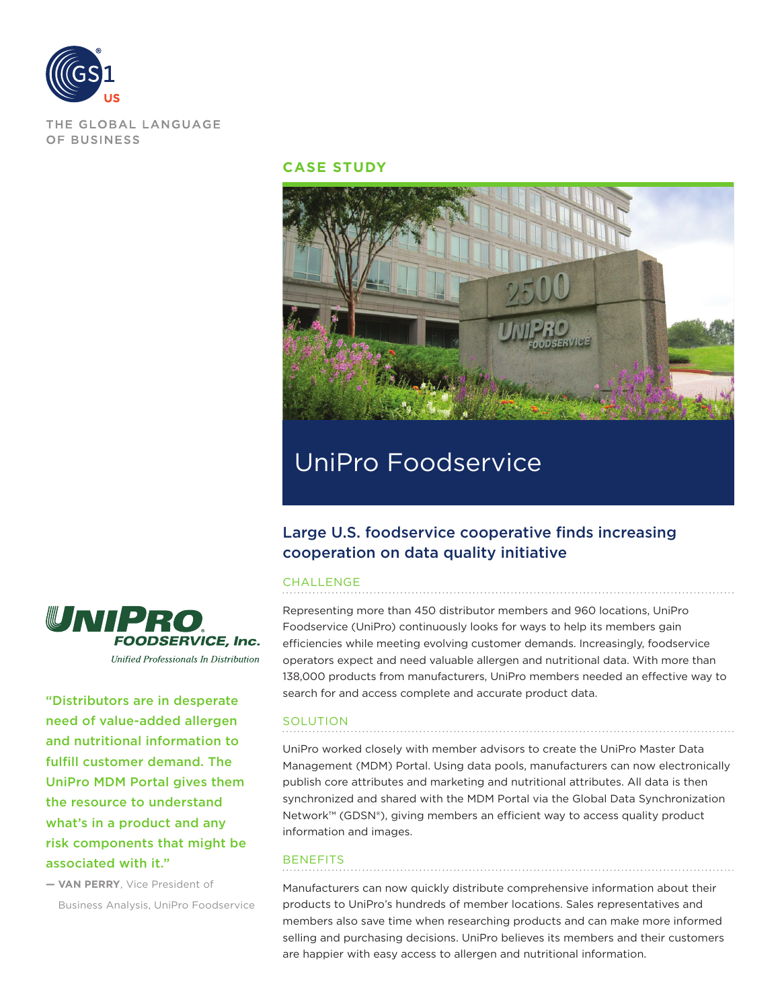

THE GLOBAL LANGUAGE OF BUSINESS

#### **CASE STUDY**



# UniPro Foodservice

## Large U.S. foodservice cooperative finds increasing cooperation on data quality initiative

#### CHALLENGE

Representing more than 450 distributor members and 960 locations, UniPro Foodservice (UniPro) continuously looks for ways to help its members gain efficiencies while meeting evolving customer demands. Increasingly, foodservice operators expect and need valuable allergen and nutritional data. With more than 138,000 products from manufacturers, UniPro members needed an effective way to search for and access complete and accurate product data.

### SOLUTION

UniPro worked closely with member advisors to create the UniPro Master Data Management (MDM) Portal. Using data pools, manufacturers can now electronically publish core attributes and marketing and nutritional attributes. All data is then synchronized and shared with the MDM Portal via the Global Data Synchronization Network™ (GDSN®), giving members an efficient way to access quality product information and images.

#### **BENEFITS**

Manufacturers can now quickly distribute comprehensive information about their products to UniPro's hundreds of member locations. Sales representatives and members also save time when researching products and can make more informed selling and purchasing decisions. UniPro believes its members and their customers are happier with easy access to allergen and nutritional information.



"Distributors are in desperate need of value-added allergen and nutritional information to fulfill customer demand. The UniPro MDM Portal gives them the resource to understand what's in a product and any risk components that might be associated with it."

**— VAN PERRY**, Vice President of Business Analysis, UniPro Foodservice